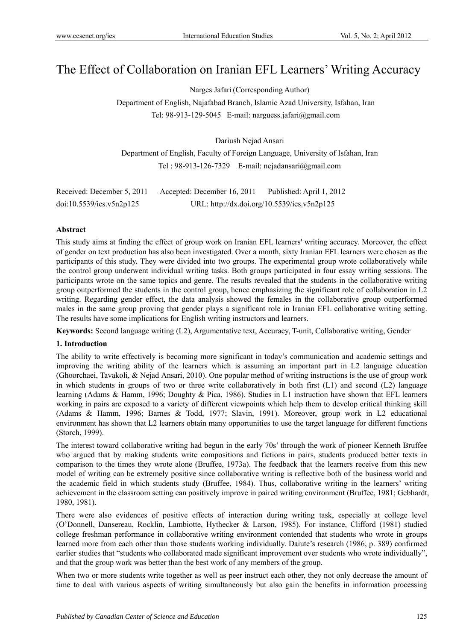# The Effect of Collaboration on Iranian EFL Learners' Writing Accuracy

Narges Jafari(Corresponding Author)

Department of English, Najafabad Branch, Islamic Azad University, Isfahan, Iran Tel: 98-913-129-5045 E-mail: narguess.jafari@gmail.com

Dariush Nejad Ansari

Department of English, Faculty of Foreign Language, University of Isfahan, Iran Tel : 98-913-126-7329 E-mail: nejadansari@gmail.com

| Received: December 5, 2011 | Accepted: December 16, 2011 | Published: April 1, 2012                    |
|----------------------------|-----------------------------|---------------------------------------------|
| doi:10.5539/ies.v5n2p125   |                             | URL: http://dx.doi.org/10.5539/ies.v5n2p125 |

## **Abstract**

This study aims at finding the effect of group work on Iranian EFL learners' writing accuracy. Moreover, the effect of gender on text production has also been investigated. Over a month, sixty Iranian EFL learners were chosen as the participants of this study. They were divided into two groups. The experimental group wrote collaboratively while the control group underwent individual writing tasks. Both groups participated in four essay writing sessions. The participants wrote on the same topics and genre. The results revealed that the students in the collaborative writing group outperformed the students in the control group, hence emphasizing the significant role of collaboration in L2 writing. Regarding gender effect, the data analysis showed the females in the collaborative group outperformed males in the same group proving that gender plays a significant role in Iranian EFL collaborative writing setting. The results have some implications for English writing instructors and learners.

**Keywords:** Second language writing (L2), Argumentative text, Accuracy, T-unit, Collaborative writing, Gender

## **1. Introduction**

The ability to write effectively is becoming more significant in today's communication and academic settings and improving the writing ability of the learners which is assuming an important part in L2 language education (Ghoorchaei, Tavakoli, & Nejad Ansari, 2010). One popular method of writing instructions is the use of group work in which students in groups of two or three write collaboratively in both first (L1) and second (L2) language learning (Adams & Hamm, 1996; Doughty & Pica, 1986). Studies in L1 instruction have shown that EFL learners working in pairs are exposed to a variety of different viewpoints which help them to develop critical thinking skill (Adams & Hamm, 1996; Barnes & Todd, 1977; Slavin, 1991). Moreover, group work in L2 educational environment has shown that L2 learners obtain many opportunities to use the target language for different functions (Storch, 1999).

The interest toward collaborative writing had begun in the early 70s' through the work of pioneer Kenneth Bruffee who argued that by making students write compositions and fictions in pairs, students produced better texts in comparison to the times they wrote alone (Bruffee, 1973a). The feedback that the learners receive from this new model of writing can be extremely positive since collaborative writing is reflective both of the business world and the academic field in which students study (Bruffee, 1984). Thus, collaborative writing in the learners' writing achievement in the classroom setting can positively improve in paired writing environment (Bruffee, 1981; Gebhardt, 1980, 1981).

There were also evidences of positive effects of interaction during writing task, especially at college level (O'Donnell, Dansereau, Rocklin, Lambiotte, Hythecker & Larson, 1985). For instance, Clifford (1981) studied college freshman performance in collaborative writing environment contended that students who wrote in groups learned more from each other than those students working individually. Daiute's research (1986, p. 389) confirmed earlier studies that "students who collaborated made significant improvement over students who wrote individually", and that the group work was better than the best work of any members of the group.

When two or more students write together as well as peer instruct each other, they not only decrease the amount of time to deal with various aspects of writing simultaneously but also gain the benefits in information processing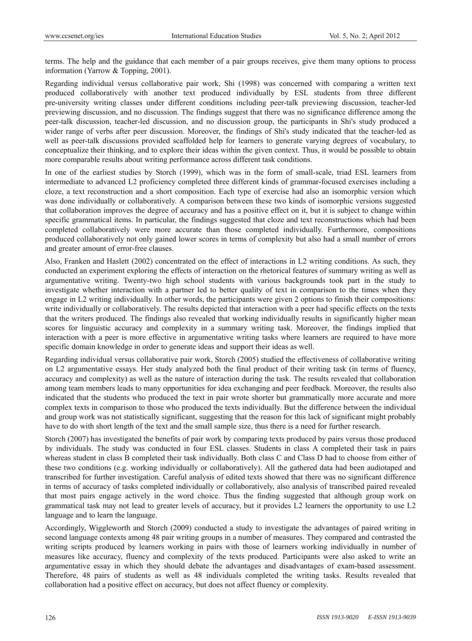terms. The help and the guidance that each member of a pair groups receives, give them many options to process information (Yarrow & Topping, 2001).

Regarding individual versus collaborative pair work, Shi (1998) was concerned with comparing a written text produced collaboratively with another text produced individually by ESL students from three different pre-university writing classes under different conditions including peer-talk previewing discussion, teacher-led previewing discussion, and no discussion. The findings suggest that there was no significance difference among the peer-talk discussion, teacher-led discussion, and no discussion group, the participants in Shi's study produced a wider range of verbs after peer discussion. Moreover, the findings of Shi's study indicated that the teacher-led as well as peer-talk discussions provided scaffolded help for learners to generate varying degrees of vocabulary, to conceptualize their thinking, and to explore their ideas within the given context. Thus, it would be possible to obtain more comparable results about writing performance across different task conditions.

In one of the earliest studies by Storch (1999), which was in the form of small-scale, triad ESL learners from intermediate to advanced L2 proficiency completed three different kinds of grammar-focused exercises including a cloze, a text reconstruction and a short composition. Each type of exercise had also an isomorphic version which was done individually or collaboratively. A comparison between these two kinds of isomorphic versions suggested that collaboration improves the degree of accuracy and has a positive effect on it, but it is subject to change within specific grammatical items. In particular, the findings suggested that cloze and text reconstructions which had been completed collaboratively were more accurate than those completed individually. Furthermore, compositions produced collaboratively not only gained lower scores in terms of complexity but also had a small number of errors and greater amount of error-free clauses.

Also, Franken and Haslett (2002) concentrated on the effect of interactions in L2 writing conditions. As such, they conducted an experiment exploring the effects of interaction on the rhetorical features of summary writing as well as argumentative writing. Twenty-two high school students with various backgrounds took part in the study to investigate whether interaction with a partner led to better quality of text in comparison to the times when they engage in L2 writing individually. In other words, the participants were given 2 options to finish their compositions: write individually or collaboratively. The results depicted that interaction with a peer had specific effects on the texts that the writers produced. The findings also revealed that working individually results in significantly higher mean scores for linguistic accuracy and complexity in a summary writing task. Moreover, the findings implied that interaction with a peer is more effective in argumentative writing tasks where learners are required to have more specific domain knowledge in order to generate ideas and support their ideas as well.

Regarding individual versus collaborative pair work, Storch (2005) studied the effectiveness of collaborative writing on L2 argumentative essays. Her study analyzed both the final product of their writing task (in terms of fluency, accuracy and complexity) as well as the nature of interaction during the task. The results revealed that collaboration among team members leads to many opportunities for idea exchanging and peer feedback. Moreover, the results also indicated that the students who produced the text in pair wrote shorter but grammatically more accurate and more complex texts in comparison to those who produced the texts individually. But the difference between the individual and group work was not statistically significant, suggesting that the reason for this lack of significant might probably have to do with short length of the text and the small sample size, thus there is a need for further research.

Storch (2007) has investigated the benefits of pair work by comparing texts produced by pairs versus those produced by individuals. The study was conducted in four ESL classes. Students in class A completed their task in pairs whereas student in class B completed their task individually. Both class C and Class D had to choose from either of these two conditions (e.g. working individually or collaboratively). All the gathered data had been audiotaped and transcribed for further investigation. Careful analysis of edited texts showed that there was no significant difference in terms of accuracy of tasks completed individually or collaboratively, also analysis of transcribed paired revealed that most pairs engage actively in the word choice. Thus the finding suggested that although group work on grammatical task may not lead to greater levels of accuracy, but it provides L2 learners the opportunity to use L2 language and to learn the language.

Accordingly, Wiggleworth and Storch (2009) conducted a study to investigate the advantages of paired writing in second language contexts among 48 pair writing groups in a number of measures. They compared and contrasted the writing scripts produced by learners working in pairs with those of learners working individually in number of measures like accuracy, fluency and complexity of the texts produced. Participants were also asked to write an argumentative essay in which they should debate the advantages and disadvantages of exam-based assessment. Therefore, 48 pairs of students as well as 48 individuals completed the writing tasks. Results revealed that collaboration had a positive effect on accuracy, but does not affect fluency or complexity.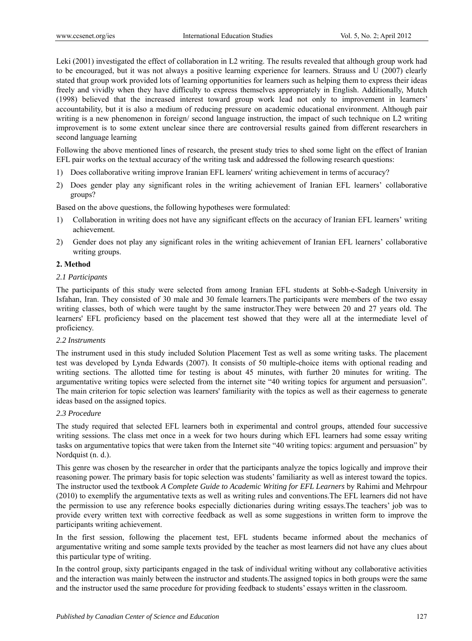Leki (2001) investigated the effect of collaboration in L2 writing. The results revealed that although group work had to be encouraged, but it was not always a positive learning experience for learners. Strauss and U (2007) clearly stated that group work provided lots of learning opportunities for learners such as helping them to express their ideas freely and vividly when they have difficulty to express themselves appropriately in English. Additionally, Mutch (1998) believed that the increased interest toward group work lead not only to improvement in learners' accountability, but it is also a medium of reducing pressure on academic educational environment. Although pair writing is a new phenomenon in foreign/ second language instruction, the impact of such technique on L2 writing improvement is to some extent unclear since there are controversial results gained from different researchers in second language learning

Following the above mentioned lines of research, the present study tries to shed some light on the effect of Iranian EFL pair works on the textual accuracy of the writing task and addressed the following research questions:

- 1) Does collaborative writing improve Iranian EFL learners' writing achievement in terms of accuracy?
- 2) Does gender play any significant roles in the writing achievement of Iranian EFL learners' collaborative groups?

Based on the above questions, the following hypotheses were formulated:

- 1) Collaboration in writing does not have any significant effects on the accuracy of Iranian EFL learners' writing achievement.
- 2) Gender does not play any significant roles in the writing achievement of Iranian EFL learners' collaborative writing groups.

## **2. Method**

## *2.1 Participants*

The participants of this study were selected from among Iranian EFL students at Sobh-e-Sadegh University in Isfahan, Iran. They consisted of 30 male and 30 female learners.The participants were members of the two essay writing classes, both of which were taught by the same instructor.They were between 20 and 27 years old. The learners' EFL proficiency based on the placement test showed that they were all at the intermediate level of proficiency.

## *2.2 Instruments*

The instrument used in this study included Solution Placement Test as well as some writing tasks. The placement test was developed by Lynda Edwards (2007). It consists of 50 multiple-choice items with optional reading and writing sections. The allotted time for testing is about 45 minutes, with further 20 minutes for writing. The argumentative writing topics were selected from the internet site "40 writing topics for argument and persuasion". The main criterion for topic selection was learners' familiarity with the topics as well as their eagerness to generate ideas based on the assigned topics.

# *2.3 Procedure*

The study required that selected EFL learners both in experimental and control groups, attended four successive writing sessions. The class met once in a week for two hours during which EFL learners had some essay writing tasks on argumentative topics that were taken from the Internet site "40 writing topics: argument and persuasion" by Nordquist (n. d.).

This genre was chosen by the researcher in order that the participants analyze the topics logically and improve their reasoning power. The primary basis for topic selection was students' familiarity as well as interest toward the topics. The instructor used the textbook *A Complete Guide to Academic Writing for EFL Learners* by Rahimi and Mehrpour (2010) to exemplify the argumentative texts as well as writing rules and conventions.The EFL learners did not have the permission to use any reference books especially dictionaries during writing essays.The teachers' job was to provide every written text with corrective feedback as well as some suggestions in written form to improve the participants writing achievement.

In the first session, following the placement test, EFL students became informed about the mechanics of argumentative writing and some sample texts provided by the teacher as most learners did not have any clues about this particular type of writing.

In the control group, sixty participants engaged in the task of individual writing without any collaborative activities and the interaction was mainly between the instructor and students.The assigned topics in both groups were the same and the instructor used the same procedure for providing feedback to students' essays written in the classroom.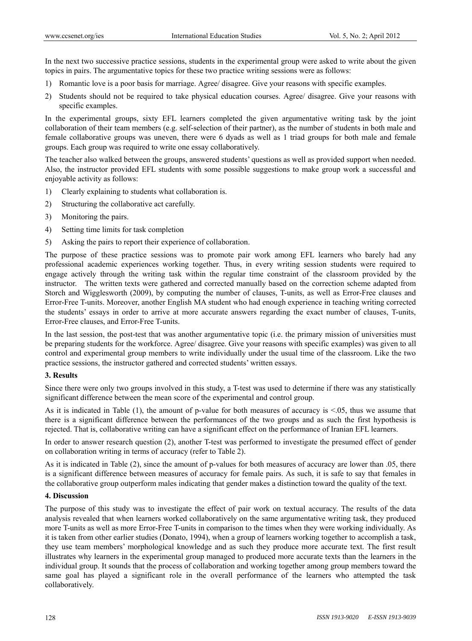In the next two successive practice sessions, students in the experimental group were asked to write about the given topics in pairs. The argumentative topics for these two practice writing sessions were as follows:

- 1) Romantic love is a poor basis for marriage. Agree/ disagree. Give your reasons with specific examples.
- 2) Students should not be required to take physical education courses. Agree/ disagree. Give your reasons with specific examples.

In the experimental groups, sixty EFL learners completed the given argumentative writing task by the joint collaboration of their team members (e.g. self-selection of their partner), as the number of students in both male and female collaborative groups was uneven, there were 6 dyads as well as 1 triad groups for both male and female groups. Each group was required to write one essay collaboratively.

The teacher also walked between the groups, answered students' questions as well as provided support when needed. Also, the instructor provided EFL students with some possible suggestions to make group work a successful and enjoyable activity as follows:

- 1) Clearly explaining to students what collaboration is.
- 2) Structuring the collaborative act carefully.
- 3) Monitoring the pairs.
- 4) Setting time limits for task completion
- 5) Asking the pairs to report their experience of collaboration.

The purpose of these practice sessions was to promote pair work among EFL learners who barely had any professional academic experiences working together. Thus, in every writing session students were required to engage actively through the writing task within the regular time constraint of the classroom provided by the instructor. The written texts were gathered and corrected manually based on the correction scheme adapted from Storch and Wigglesworth (2009), by computing the number of clauses, T-units, as well as Error-Free clauses and Error-Free T-units. Moreover, another English MA student who had enough experience in teaching writing corrected the students' essays in order to arrive at more accurate answers regarding the exact number of clauses, T-units, Error-Free clauses, and Error-Free T-units.

In the last session, the post-test that was another argumentative topic (i.e. the primary mission of universities must be preparing students for the workforce. Agree/ disagree. Give your reasons with specific examples) was given to all control and experimental group members to write individually under the usual time of the classroom. Like the two practice sessions, the instructor gathered and corrected students' written essays.

## **3. Results**

Since there were only two groups involved in this study, a T-test was used to determine if there was any statistically significant difference between the mean score of the experimental and control group.

As it is indicated in Table  $(1)$ , the amount of p-value for both measures of accuracy is  $\leq 0.05$ , thus we assume that there is a significant difference between the performances of the two groups and as such the first hypothesis is rejected. That is, collaborative writing can have a significant effect on the performance of Iranian EFL learners.

In order to answer research question (2), another T-test was performed to investigate the presumed effect of gender on collaboration writing in terms of accuracy (refer to Table 2).

As it is indicated in Table (2), since the amount of p-values for both measures of accuracy are lower than .05, there is a significant difference between measures of accuracy for female pairs. As such, it is safe to say that females in the collaborative group outperform males indicating that gender makes a distinction toward the quality of the text.

## **4. Discussion**

The purpose of this study was to investigate the effect of pair work on textual accuracy. The results of the data analysis revealed that when learners worked collaboratively on the same argumentative writing task, they produced more T-units as well as more Error-Free T-units in comparison to the times when they were working individually. As it is taken from other earlier studies (Donato, 1994), when a group of learners working together to accomplish a task, they use team members' morphological knowledge and as such they produce more accurate text. The first result illustrates why learners in the experimental group managed to produced more accurate texts than the learners in the individual group. It sounds that the process of collaboration and working together among group members toward the same goal has played a significant role in the overall performance of the learners who attempted the task collaboratively.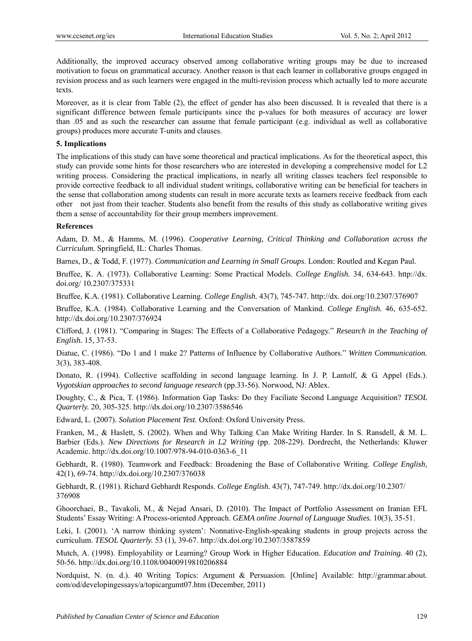Additionally, the improved accuracy observed among collaborative writing groups may be due to increased motivation to focus on grammatical accuracy. Another reason is that each learner in collaborative groups engaged in revision process and as such learners were engaged in the multi-revision process which actually led to more accurate texts.

Moreover, as it is clear from Table (2), the effect of gender has also been discussed. It is revealed that there is a significant difference between female participants since the p-values for both measures of accuracy are lower than .05 and as such the researcher can assume that female participant (e.g. individual as well as collaborative groups) produces more accurate T-units and clauses.

#### **5. Implications**

The implications of this study can have some theoretical and practical implications. As for the theoretical aspect, this study can provide some hints for those researchers who are interested in developing a comprehensive model for L2 writing process. Considering the practical implications, in nearly all writing classes teachers feel responsible to provide corrective feedback to all individual student writings, collaborative writing can be beneficial for teachers in the sense that collaboration among students can result in more accurate texts as learners receive feedback from each other not just from their teacher. Students also benefit from the results of this study as collaborative writing gives them a sense of accountability for their group members improvement.

#### **References**

Adam, D. M., & Hamms, M. (1996). *Cooperative Learning, Critical Thinking and Collaboration across the Curriculum.* Springfield, IL: Charles Thomas.

Barnes, D., & Todd, F. (1977). *Communication and Learning in Small Groups*. London: Routled and Kegan Paul.

Bruffee, K. A. (1973). Collaborative Learning: Some Practical Models. *College English.* 34, 634-643. http://dx. doi.org/ 10.2307/375331

Bruffee, K.A. (1981). Collaborative Learning. *College English.* 43(7), 745-747. http://dx. doi.org/10.2307/376907

Bruffee, K.A. (1984). Collaborative Learning and the Conversation of Mankind. *College English.* 46, 635-652. http://dx.doi.org/10.2307/376924

Clifford, J. (1981). "Comparing in Stages: The Effects of a Collaborative Pedagogy." *Research in the Teaching of English.* 15, 37-53.

Diatue, C. (1986). "Do 1 and 1 make 2? Patterns of Influence by Collaborative Authors." *Written Communication.*  3(3), 383-408.

Donato, R. (1994). Collective scaffolding in second language learning. In J. P. Lantolf, & G. Appel (Eds.). *Vygotskian approaches to second language research* (pp.33-56). Norwood, NJ: Ablex.

Doughty, C., & Pica, T. (1986). Information Gap Tasks: Do they Faciliate Second Language Acquisition? *TESOL Quarterly.* 20, 305-325. http://dx.doi.org/10.2307/3586546

Edward, L. (2007). *Solution Placement Test.* Oxford: Oxford University Press.

Franken, M., & Haslett, S. (2002). When and Why Talking Can Make Writing Harder. In S. Ransdell, & M. L. Barbier (Eds.). *New Directions for Research in L2 Writing* (pp. 208-229). Dordrecht, the Netherlands: Kluwer Academic. http://dx.doi.org/10.1007/978-94-010-0363-6\_11

Gebhardt, R. (1980). Teamwork and Feedback: Broadening the Base of Collaborative Writing. *College English,* 42(1), 69-74. http://dx.doi.org/10.2307/376038

Gebhardt, R. (1981). Richard Gebhardt Responds. *College English.* 43(7), 747-749. http://dx.doi.org/10.2307/ 376908

Ghoorchaei, B., Tavakoli, M., & Nejad Ansari, D. (2010). The Impact of Portfolio Assessment on Iranian EFL Students' Essay Writing: A Process-oriented Approach. *GEMA online Journal of Language Studies.* 10(3), 35-51.

Leki, I. (2001). 'A narrow thinking system': Nonnative-English-speaking students in group projects across the curriculum. *TESOL Quarterly.* 53 (1), 39-67. http://dx.doi.org/10.2307/3587859

Mutch, A. (1998). Employability or Learning? Group Work in Higher Education. *Education and Training.* 40 (2), 50-56. http://dx.doi.org/10.1108/00400919810206884

Nordquist, N. (n. d.). 40 Writing Topics: Argument & Persuasion. [Online] Available: http://grammar.about. com/od/developingessays/a/topicargumt07.htm (December, 2011)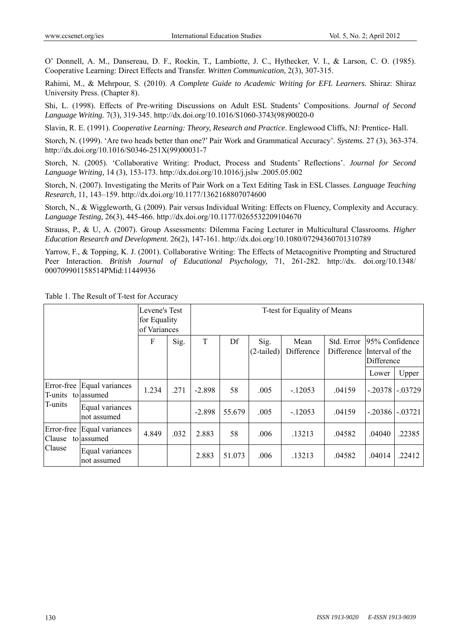O' Donnell, A. M., Dansereau, D. F., Rockin, T., Lambiotte, J. C., Hythecker, V. I., & Larson, C. O. (1985). Cooperative Learning: Direct Effects and Transfer. *Written Communication,* 2(3), 307-315.

Rahimi, M., & Mehrpour, S. (2010). *A Complete Guide to Academic Writing for EFL Learners.* Shiraz: Shiraz University Press. (Chapter 8).

Shi, L. (1998). Effects of Pre-writing Discussions on Adult ESL Students' Compositions. *Journal of Second Language Writing.* 7(3), 319-345. http://dx.doi.org/10.1016/S1060-3743(98)90020-0

Slavin, R. E. (1991). *Cooperative Learning: Theory, Research and Practice*. Englewood Cliffs, NJ: Prentice- Hall.

Storch, N. (1999). 'Are two heads better than one?' Pair Work and Grammatical Accuracy'. *Systems.* 27 (3), 363-374. http://dx.doi.org/10.1016/S0346-251X(99)00031-7

Storch, N. (2005). 'Collaborative Writing: Product, Process and Students' Reflections'. *Journal for Second Language Writing,* 14 (3), 153-173. http://dx.doi.org/10.1016/j.jslw .2005.05.002

Storch, N. (2007). Investigating the Merits of Pair Work on a Text Editing Task in ESL Classes. *Language Teaching Research,* 11, 143–159. http://dx.doi.org/10.1177/1362168807074600

Storch, N., & Wiggleworth, G. (2009). Pair versus Individual Writing: Effects on Fluency, Complexity and Accuracy. *Language Testing,* 26(3), 445-466. http://dx.doi.org/10.1177/0265532209104670

Strauss, P., & U, A. (2007). Group Assessments: Dilemma Facing Lecturer in Multicultural Classrooms. *Higher Education Research and Development.* 26(2), 147-161. http://dx.doi.org/10.1080/07294360701310789

Yarrow, F., & Topping, K. J. (2001). Collaborative Writing: The Effects of Metacognitive Prompting and Structured Peer Interaction. *British Journal of Educational Psychology,* 71, 261-282. http://dx. doi.org/10.1348/ 000709901158514PMid:11449936

| Levene's Test<br>for Equality<br>of Variances |                                          |       | T-test for Equality of Means |          |        |                      |                    |                          |                                                 |                       |
|-----------------------------------------------|------------------------------------------|-------|------------------------------|----------|--------|----------------------|--------------------|--------------------------|-------------------------------------------------|-----------------------|
|                                               |                                          | F     | Sig.                         | T        | Df     | Sig.<br>$(2-tailed)$ | Mean<br>Difference | Std. Error<br>Difference | 95% Confidence<br>Interval of the<br>Difference |                       |
|                                               |                                          |       |                              |          |        |                      |                    |                          | Lower                                           | Upper                 |
| T-units<br>T-units                            | Error-free Equal variances<br>to assumed | 1.234 | .271                         | $-2.898$ | 58     | .005                 | $-.12053$          | .04159                   |                                                 | $-0.20378$ $-0.03729$ |
|                                               | Equal variances<br>not assumed           |       |                              | $-2.898$ | 55.679 | .005                 | $-.12053$          | .04159                   |                                                 | $-.20386$ $-.03721$   |
| Error-free<br>Clause<br>Clause                | Equal variances<br>to assumed            | 4.849 | .032                         | 2.883    | 58     | .006                 | .13213             | .04582                   | .04040                                          | .22385                |
|                                               | Equal variances<br>not assumed           |       |                              | 2.883    | 51.073 | .006                 | .13213             | .04582                   | .04014                                          | .22412                |

Table 1. The Result of T-test for Accuracy